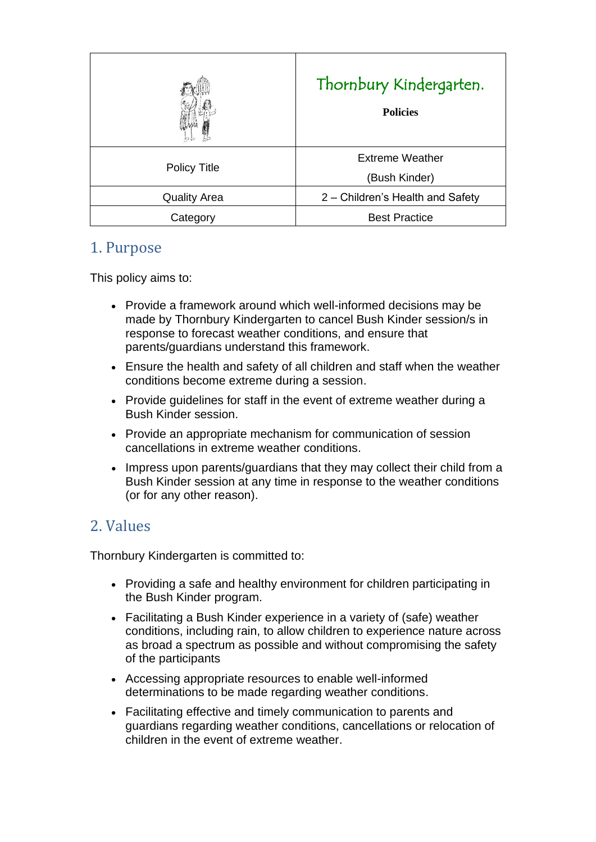|                     | Thornbury Kindergarten.<br><b>Policies</b> |
|---------------------|--------------------------------------------|
| <b>Policy Title</b> | <b>Extreme Weather</b><br>(Bush Kinder)    |
| <b>Quality Area</b> | 2 - Children's Health and Safety           |
| Category            | <b>Best Practice</b>                       |

## 1. Purpose

This policy aims to:

- Provide a framework around which well-informed decisions may be made by Thornbury Kindergarten to cancel Bush Kinder session/s in response to forecast weather conditions, and ensure that parents/guardians understand this framework.
- Ensure the health and safety of all children and staff when the weather conditions become extreme during a session.
- Provide guidelines for staff in the event of extreme weather during a Bush Kinder session.
- Provide an appropriate mechanism for communication of session cancellations in extreme weather conditions.
- Impress upon parents/quardians that they may collect their child from a Bush Kinder session at any time in response to the weather conditions (or for any other reason).

# 2. Values

Thornbury Kindergarten is committed to:

- Providing a safe and healthy environment for children participating in the Bush Kinder program.
- Facilitating a Bush Kinder experience in a variety of (safe) weather conditions, including rain, to allow children to experience nature across as broad a spectrum as possible and without compromising the safety of the participants
- Accessing appropriate resources to enable well-informed determinations to be made regarding weather conditions.
- Facilitating effective and timely communication to parents and guardians regarding weather conditions, cancellations or relocation of children in the event of extreme weather.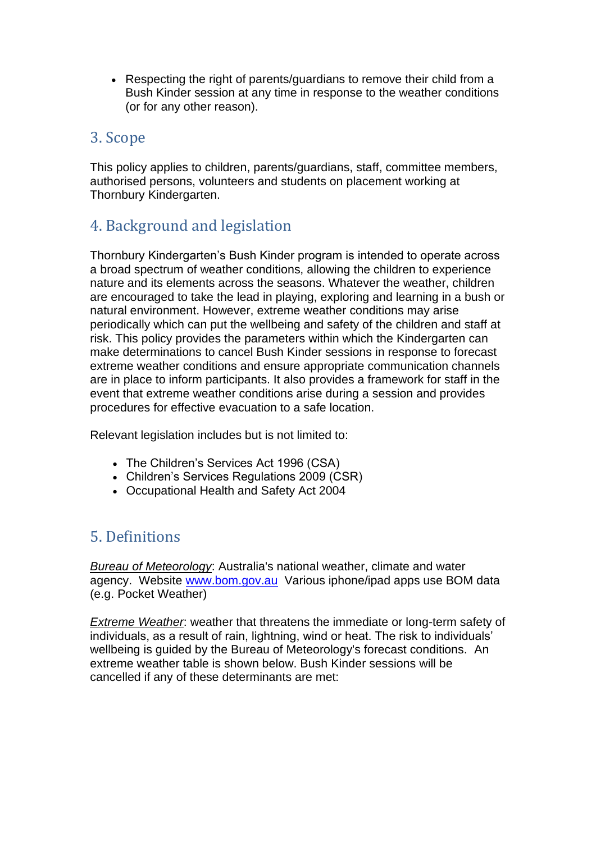• Respecting the right of parents/guardians to remove their child from a Bush Kinder session at any time in response to the weather conditions (or for any other reason).

# 3. Scope

This policy applies to children, parents/guardians, staff, committee members, authorised persons, volunteers and students on placement working at Thornbury Kindergarten.

# 4. Background and legislation

Thornbury Kindergarten's Bush Kinder program is intended to operate across a broad spectrum of weather conditions, allowing the children to experience nature and its elements across the seasons. Whatever the weather, children are encouraged to take the lead in playing, exploring and learning in a bush or natural environment. However, extreme weather conditions may arise periodically which can put the wellbeing and safety of the children and staff at risk. This policy provides the parameters within which the Kindergarten can make determinations to cancel Bush Kinder sessions in response to forecast extreme weather conditions and ensure appropriate communication channels are in place to inform participants. It also provides a framework for staff in the event that extreme weather conditions arise during a session and provides procedures for effective evacuation to a safe location.

Relevant legislation includes but is not limited to:

- The Children's Services Act 1996 (CSA)
- Children's Services Regulations 2009 (CSR)
- Occupational Health and Safety Act 2004

# 5. Definitions

*Bureau of Meteorology*: Australia's national weather, climate and water agency. Website [www.bom.gov.au](http://www.google.com/url?q=http%3A%2F%2Fwww.bom.gov.au&sa=D&sntz=1&usg=AFQjCNHD5BQ0q2rNeanZAJ2L8Yeq0K8ZuQ) Various iphone/ipad apps use BOM data (e.g. Pocket Weather)

*Extreme Weather*: weather that threatens the immediate or long-term safety of individuals, as a result of rain, lightning, wind or heat. The risk to individuals' wellbeing is guided by the Bureau of Meteorology's forecast conditions. An extreme weather table is shown below. Bush Kinder sessions will be cancelled if any of these determinants are met: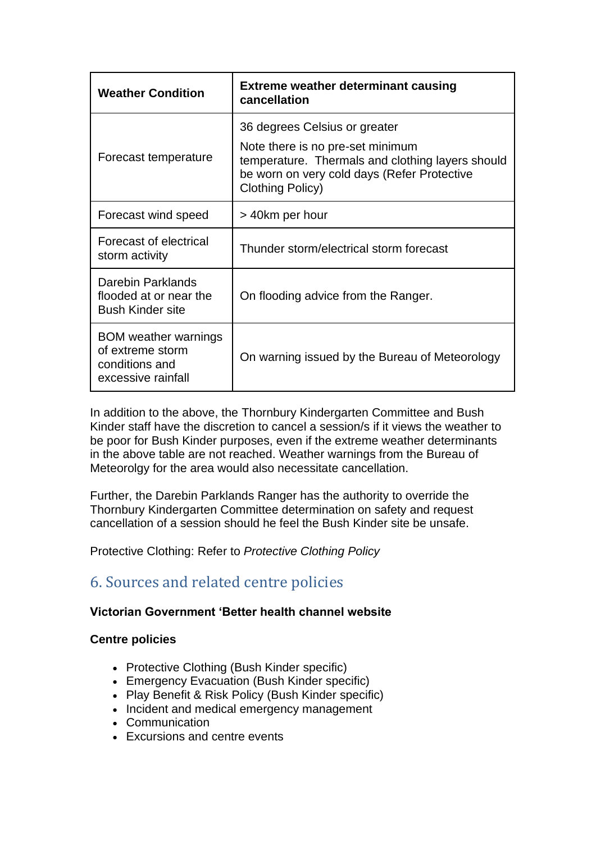| <b>Weather Condition</b>                                                                | <b>Extreme weather determinant causing</b><br>cancellation                                                                                                                               |
|-----------------------------------------------------------------------------------------|------------------------------------------------------------------------------------------------------------------------------------------------------------------------------------------|
| Forecast temperature                                                                    | 36 degrees Celsius or greater<br>Note there is no pre-set minimum<br>temperature. Thermals and clothing layers should<br>be worn on very cold days (Refer Protective<br>Clothing Policy) |
| Forecast wind speed                                                                     | > 40km per hour                                                                                                                                                                          |
| Forecast of electrical<br>storm activity                                                | Thunder storm/electrical storm forecast                                                                                                                                                  |
| Darebin Parklands<br>flooded at or near the<br><b>Bush Kinder site</b>                  | On flooding advice from the Ranger.                                                                                                                                                      |
| <b>BOM</b> weather warnings<br>of extreme storm<br>conditions and<br>excessive rainfall | On warning issued by the Bureau of Meteorology                                                                                                                                           |

In addition to the above, the Thornbury Kindergarten Committee and Bush Kinder staff have the discretion to cancel a session/s if it views the weather to be poor for Bush Kinder purposes, even if the extreme weather determinants in the above table are not reached. Weather warnings from the Bureau of Meteorolgy for the area would also necessitate cancellation.

Further, the Darebin Parklands Ranger has the authority to override the Thornbury Kindergarten Committee determination on safety and request cancellation of a session should he feel the Bush Kinder site be unsafe.

Protective Clothing: Refer to *Protective Clothing Policy*

# 6. Sources and related centre policies

### **Victorian Government 'Better health channel website**

### **Centre policies**

- Protective Clothing (Bush Kinder specific)
- Emergency Evacuation (Bush Kinder specific)
- Play Benefit & Risk Policy (Bush Kinder specific)
- Incident and medical emergency management
- Communication
- Excursions and centre events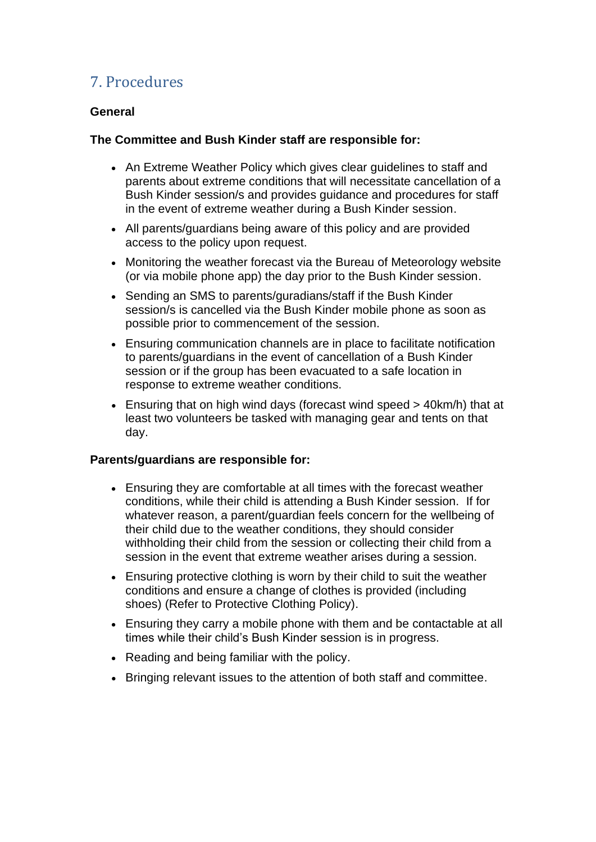# 7. Procedures

### **General**

#### **The Committee and Bush Kinder staff are responsible for:**

- An Extreme Weather Policy which gives clear guidelines to staff and parents about extreme conditions that will necessitate cancellation of a Bush Kinder session/s and provides guidance and procedures for staff in the event of extreme weather during a Bush Kinder session.
- All parents/guardians being aware of this policy and are provided access to the policy upon request.
- Monitoring the weather forecast via the Bureau of Meteorology website (or via mobile phone app) the day prior to the Bush Kinder session.
- Sending an SMS to parents/guradians/staff if the Bush Kinder session/s is cancelled via the Bush Kinder mobile phone as soon as possible prior to commencement of the session.
- Ensuring communication channels are in place to facilitate notification to parents/guardians in the event of cancellation of a Bush Kinder session or if the group has been evacuated to a safe location in response to extreme weather conditions.
- Ensuring that on high wind days (forecast wind speed > 40km/h) that at least two volunteers be tasked with managing gear and tents on that day.

#### **Parents/guardians are responsible for:**

- Ensuring they are comfortable at all times with the forecast weather conditions, while their child is attending a Bush Kinder session. If for whatever reason, a parent/guardian feels concern for the wellbeing of their child due to the weather conditions, they should consider withholding their child from the session or collecting their child from a session in the event that extreme weather arises during a session.
- Ensuring protective clothing is worn by their child to suit the weather conditions and ensure a change of clothes is provided (including shoes) (Refer to Protective Clothing Policy).
- Ensuring they carry a mobile phone with them and be contactable at all times while their child's Bush Kinder session is in progress.
- Reading and being familiar with the policy.
- Bringing relevant issues to the attention of both staff and committee.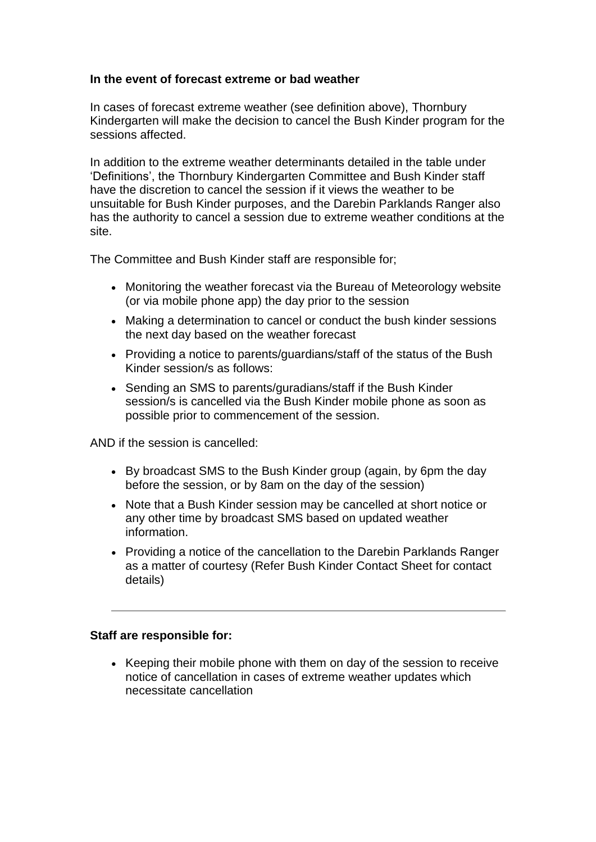#### **In the event of forecast extreme or bad weather**

In cases of forecast extreme weather (see definition above), Thornbury Kindergarten will make the decision to cancel the Bush Kinder program for the sessions affected.

In addition to the extreme weather determinants detailed in the table under 'Definitions', the Thornbury Kindergarten Committee and Bush Kinder staff have the discretion to cancel the session if it views the weather to be unsuitable for Bush Kinder purposes, and the Darebin Parklands Ranger also has the authority to cancel a session due to extreme weather conditions at the site.

The Committee and Bush Kinder staff are responsible for;

- Monitoring the weather forecast via the Bureau of Meteorology website (or via mobile phone app) the day prior to the session
- Making a determination to cancel or conduct the bush kinder sessions the next day based on the weather forecast
- Providing a notice to parents/guardians/staff of the status of the Bush Kinder session/s as follows:
- Sending an SMS to parents/guradians/staff if the Bush Kinder session/s is cancelled via the Bush Kinder mobile phone as soon as possible prior to commencement of the session.

AND if the session is cancelled:

- By broadcast SMS to the Bush Kinder group (again, by 6pm the day before the session, or by 8am on the day of the session)
- Note that a Bush Kinder session may be cancelled at short notice or any other time by broadcast SMS based on updated weather information.
- Providing a notice of the cancellation to the Darebin Parklands Ranger as a matter of courtesy (Refer Bush Kinder Contact Sheet for contact details)

#### **Staff are responsible for:**

• Keeping their mobile phone with them on day of the session to receive notice of cancellation in cases of extreme weather updates which necessitate cancellation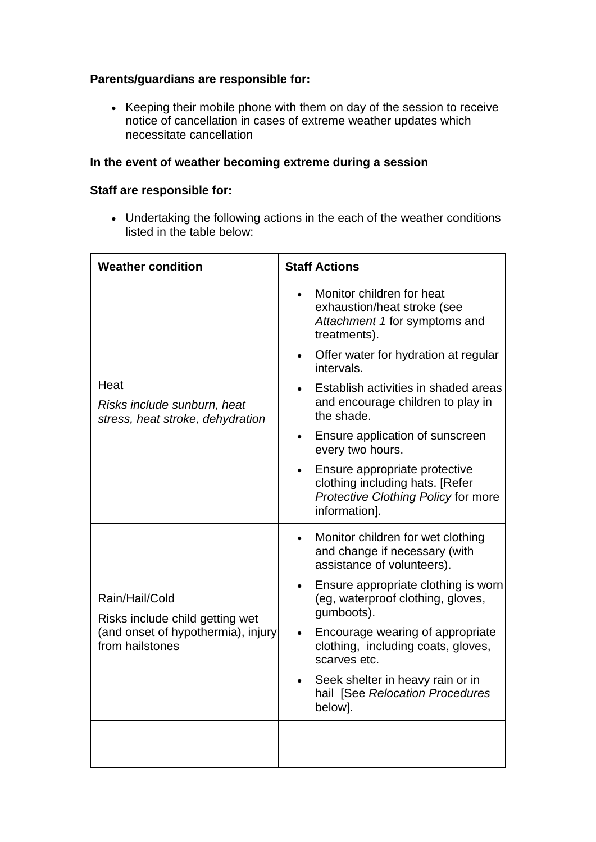### **Parents/guardians are responsible for:**

• Keeping their mobile phone with them on day of the session to receive notice of cancellation in cases of extreme weather updates which necessitate cancellation

### **In the event of weather becoming extreme during a session**

### **Staff are responsible for:**

• Undertaking the following actions in the each of the weather conditions listed in the table below:

| <b>Weather condition</b>                                                                                   | <b>Staff Actions</b>                                                                                                     |
|------------------------------------------------------------------------------------------------------------|--------------------------------------------------------------------------------------------------------------------------|
| Heat<br>Risks include sunburn, heat<br>stress, heat stroke, dehydration                                    | Monitor children for heat<br>exhaustion/heat stroke (see<br>Attachment 1 for symptoms and<br>treatments).                |
|                                                                                                            | Offer water for hydration at regular<br>$\bullet$<br>intervals.                                                          |
|                                                                                                            | Establish activities in shaded areas<br>and encourage children to play in<br>the shade.                                  |
|                                                                                                            | Ensure application of sunscreen<br>every two hours.                                                                      |
|                                                                                                            | Ensure appropriate protective<br>clothing including hats. [Refer<br>Protective Clothing Policy for more<br>information]. |
| Rain/Hail/Cold<br>Risks include child getting wet<br>(and onset of hypothermia), injury<br>from hailstones | Monitor children for wet clothing<br>and change if necessary (with<br>assistance of volunteers).                         |
|                                                                                                            | Ensure appropriate clothing is worn<br>$\bullet$<br>(eg, waterproof clothing, gloves,<br>gumboots).                      |
|                                                                                                            | Encourage wearing of appropriate<br>clothing, including coats, gloves,<br>scarves etc.                                   |
|                                                                                                            | Seek shelter in heavy rain or in<br>$\bullet$<br>hail [See Relocation Procedures<br>below].                              |
|                                                                                                            |                                                                                                                          |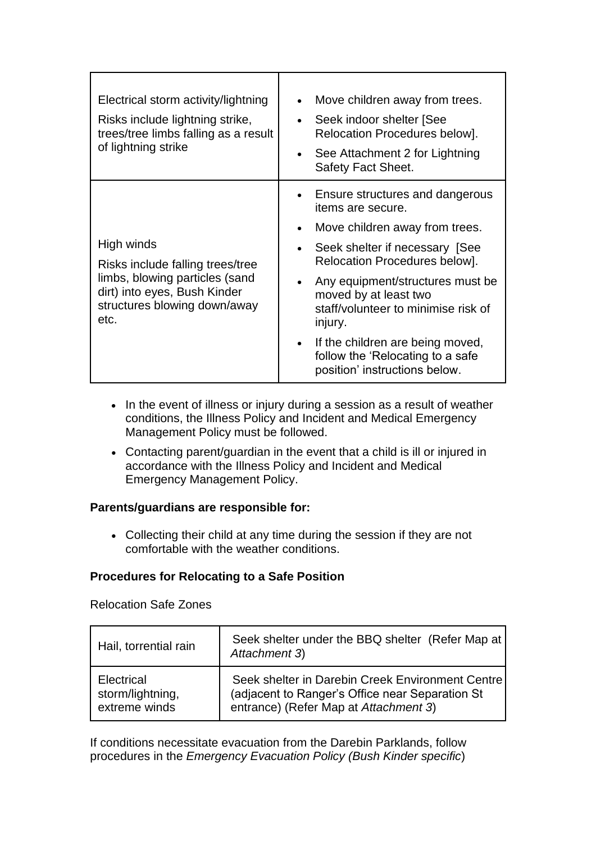| Electrical storm activity/lightning<br>Risks include lightning strike,<br>trees/tree limbs falling as a result<br>of lightning strike                    | Move children away from trees.<br>Seek indoor shelter [See<br>Relocation Procedures below].<br>See Attachment 2 for Lightning<br>Safety Fact Sheet. |
|----------------------------------------------------------------------------------------------------------------------------------------------------------|-----------------------------------------------------------------------------------------------------------------------------------------------------|
| High winds<br>Risks include falling trees/tree<br>limbs, blowing particles (sand<br>dirt) into eyes, Bush Kinder<br>structures blowing down/away<br>etc. | Ensure structures and dangerous<br>items are secure.<br>Move children away from trees.                                                              |
|                                                                                                                                                          | Seek shelter if necessary [See<br>Relocation Procedures below].                                                                                     |
|                                                                                                                                                          | Any equipment/structures must be<br>moved by at least two<br>staff/volunteer to minimise risk of<br>injury.                                         |
|                                                                                                                                                          | If the children are being moved,<br>follow the 'Relocating to a safe<br>position' instructions below.                                               |

- In the event of illness or injury during a session as a result of weather conditions, the Illness Policy and Incident and Medical Emergency Management Policy must be followed.
- Contacting parent/guardian in the event that a child is ill or injured in accordance with the Illness Policy and Incident and Medical Emergency Management Policy.

### **Parents/guardians are responsible for:**

• Collecting their child at any time during the session if they are not comfortable with the weather conditions.

### **Procedures for Relocating to a Safe Position**

Relocation Safe Zones

| Hail, torrential rain | Seek shelter under the BBQ shelter (Refer Map at<br>Attachment 3) |
|-----------------------|-------------------------------------------------------------------|
| Electrical            | Seek shelter in Darebin Creek Environment Centre                  |
| storm/lightning,      | (adjacent to Ranger's Office near Separation St                   |
| extreme winds         | entrance) (Refer Map at Attachment 3)                             |

If conditions necessitate evacuation from the Darebin Parklands, follow procedures in the *Emergency Evacuation Policy (Bush Kinder specific*)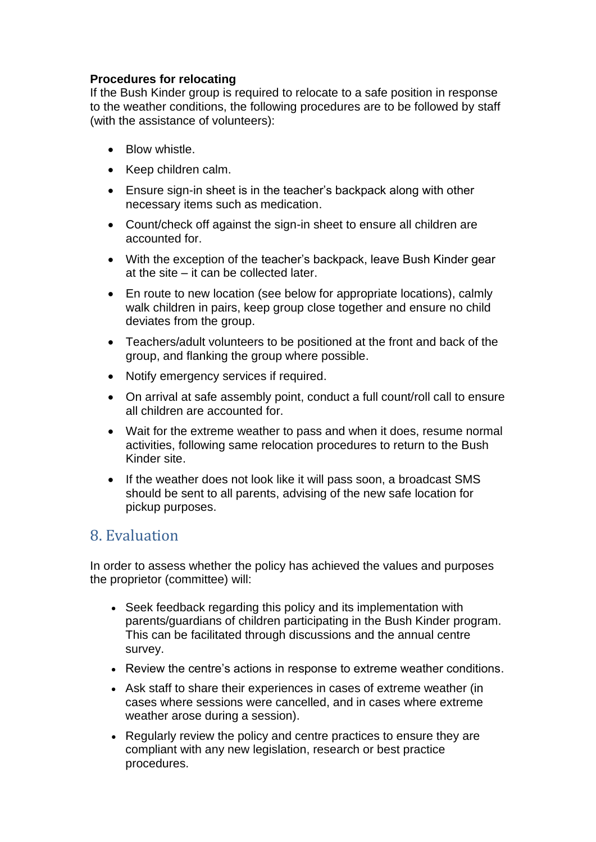### **Procedures for relocating**

If the Bush Kinder group is required to relocate to a safe position in response to the weather conditions, the following procedures are to be followed by staff (with the assistance of volunteers):

- Blow whistle.
- Keep children calm.
- Ensure sign-in sheet is in the teacher's backpack along with other necessary items such as medication.
- Count/check off against the sign-in sheet to ensure all children are accounted for.
- With the exception of the teacher's backpack, leave Bush Kinder gear at the site – it can be collected later.
- En route to new location (see below for appropriate locations), calmly walk children in pairs, keep group close together and ensure no child deviates from the group.
- Teachers/adult volunteers to be positioned at the front and back of the group, and flanking the group where possible.
- Notify emergency services if required.
- On arrival at safe assembly point, conduct a full count/roll call to ensure all children are accounted for.
- Wait for the extreme weather to pass and when it does, resume normal activities, following same relocation procedures to return to the Bush Kinder site.
- If the weather does not look like it will pass soon, a broadcast SMS should be sent to all parents, advising of the new safe location for pickup purposes.

## 8. Evaluation

In order to assess whether the policy has achieved the values and purposes the proprietor (committee) will:

- Seek feedback regarding this policy and its implementation with parents/guardians of children participating in the Bush Kinder program. This can be facilitated through discussions and the annual centre survey.
- Review the centre's actions in response to extreme weather conditions.
- Ask staff to share their experiences in cases of extreme weather (in cases where sessions were cancelled, and in cases where extreme weather arose during a session).
- Regularly review the policy and centre practices to ensure they are compliant with any new legislation, research or best practice procedures.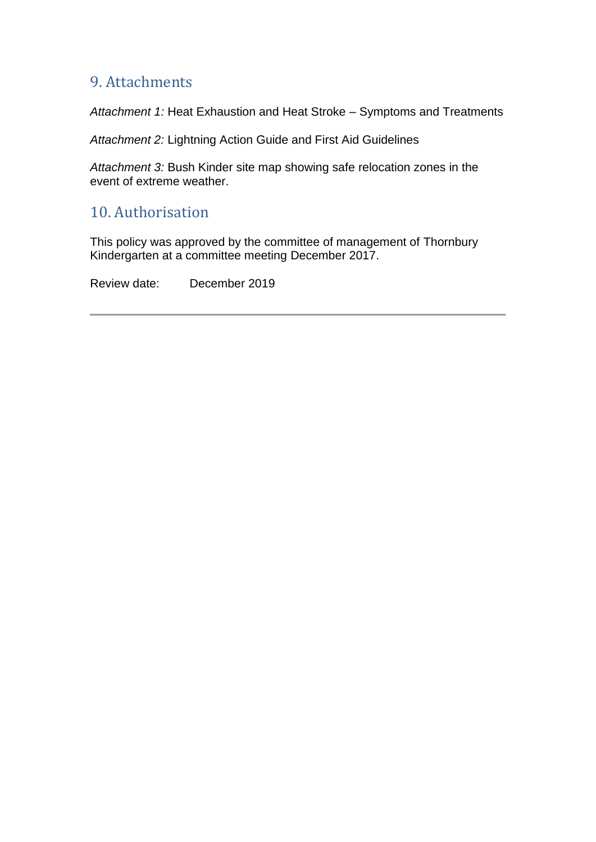# 9. Attachments

*Attachment 1:* Heat Exhaustion and Heat Stroke – Symptoms and Treatments

*Attachment 2:* Lightning Action Guide and First Aid Guidelines

*Attachment 3:* Bush Kinder site map showing safe relocation zones in the event of extreme weather.

## 10. Authorisation

This policy was approved by the committee of management of Thornbury Kindergarten at a committee meeting December 2017.

Review date: December 2019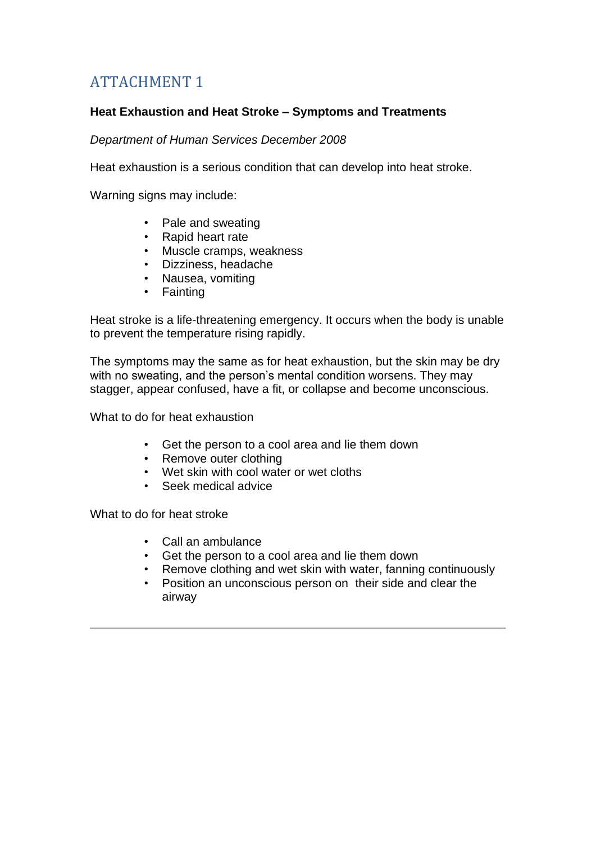# ATTACHMENT 1

### **Heat Exhaustion and Heat Stroke – Symptoms and Treatments**

*Department of Human Services December 2008* 

Heat exhaustion is a serious condition that can develop into heat stroke.

Warning signs may include:

- Pale and sweating
- Rapid heart rate
- Muscle cramps, weakness
- Dizziness, headache
- Nausea, vomiting
- Fainting

Heat stroke is a life-threatening emergency. It occurs when the body is unable to prevent the temperature rising rapidly.

The symptoms may the same as for heat exhaustion, but the skin may be dry with no sweating, and the person's mental condition worsens. They may stagger, appear confused, have a fit, or collapse and become unconscious.

What to do for heat exhaustion

- Get the person to a cool area and lie them down
- Remove outer clothing
- Wet skin with cool water or wet cloths
- Seek medical advice

What to do for heat stroke

- Call an ambulance
- Get the person to a cool area and lie them down
- Remove clothing and wet skin with water, fanning continuously
- Position an unconscious person on their side and clear the airway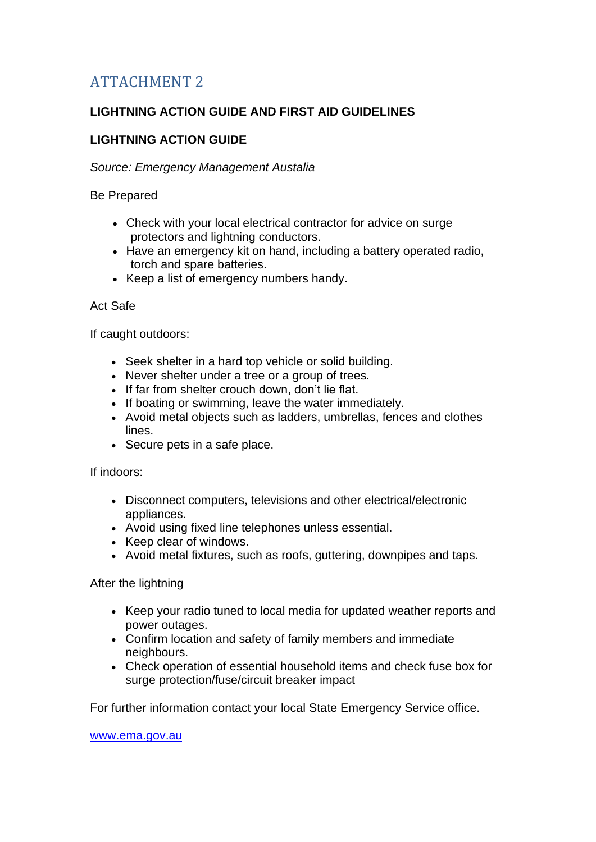# ATTACHMENT 2

## **LIGHTNING ACTION GUIDE AND FIRST AID GUIDELINES**

## **LIGHTNING ACTION GUIDE**

### *Source: Emergency Management Austalia*

Be Prepared

- Check with your local electrical contractor for advice on surge protectors and lightning conductors.
- Have an emergency kit on hand, including a battery operated radio, torch and spare batteries.
- Keep a list of emergency numbers handy.

#### Act Safe

If caught outdoors:

- Seek shelter in a hard top vehicle or solid building.
- Never shelter under a tree or a group of trees.
- If far from shelter crouch down, don't lie flat.
- If boating or swimming, leave the water immediately.
- Avoid metal objects such as ladders, umbrellas, fences and clothes lines.
- Secure pets in a safe place.

If indoors:

- Disconnect computers, televisions and other electrical/electronic appliances.
- Avoid using fixed line telephones unless essential.
- Keep clear of windows.
- Avoid metal fixtures, such as roofs, guttering, downpipes and taps.

After the lightning

- Keep your radio tuned to local media for updated weather reports and power outages.
- Confirm location and safety of family members and immediate neighbours.
- Check operation of essential household items and check fuse box for surge protection/fuse/circuit breaker impact

For further information contact your local State Emergency Service office.

[www.ema.gov.au](http://www.google.com/url?q=http%3A%2F%2Fwww.ema.gov.au&sa=D&sntz=1&usg=AFQjCNH28UHc4GBeslRdxVYyMu5gkucLwA)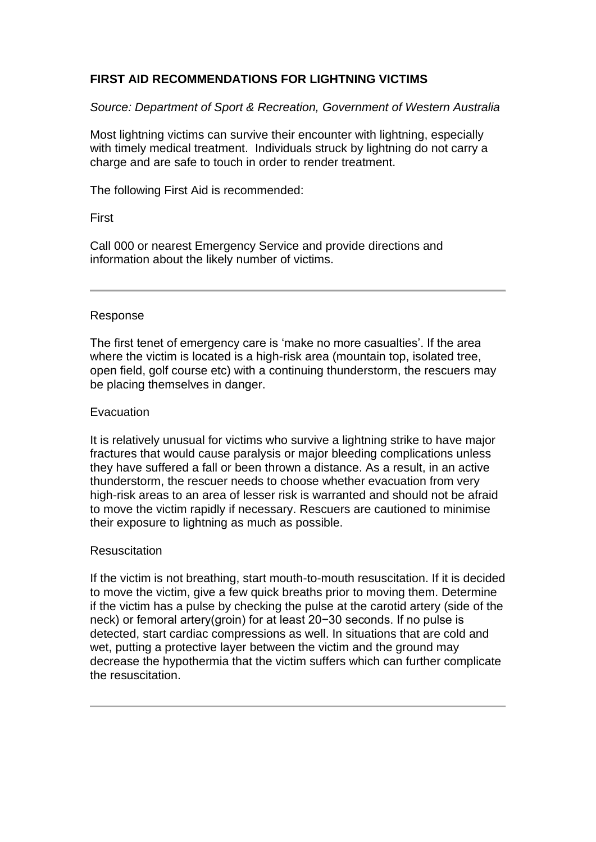### **FIRST AID RECOMMENDATIONS FOR LIGHTNING VICTIMS**

*Source: Department of Sport & Recreation, Government of Western Australia*

Most lightning victims can survive their encounter with lightning, especially with timely medical treatment. Individuals struck by lightning do not carry a charge and are safe to touch in order to render treatment.

The following First Aid is recommended:

### First

Call 000 or nearest Emergency Service and provide directions and information about the likely number of victims.

### Response

The first tenet of emergency care is 'make no more casualties'. If the area where the victim is located is a high-risk area (mountain top, isolated tree, open field, golf course etc) with a continuing thunderstorm, the rescuers may be placing themselves in danger.

### **Evacuation**

It is relatively unusual for victims who survive a lightning strike to have major fractures that would cause paralysis or major bleeding complications unless they have suffered a fall or been thrown a distance. As a result, in an active thunderstorm, the rescuer needs to choose whether evacuation from very high-risk areas to an area of lesser risk is warranted and should not be afraid to move the victim rapidly if necessary. Rescuers are cautioned to minimise their exposure to lightning as much as possible.

#### **Resuscitation**

If the victim is not breathing, start mouth-to-mouth resuscitation. If it is decided to move the victim, give a few quick breaths prior to moving them. Determine if the victim has a pulse by checking the pulse at the carotid artery (side of the neck) or femoral artery(groin) for at least 20−30 seconds. If no pulse is detected, start cardiac compressions as well. In situations that are cold and wet, putting a protective layer between the victim and the ground may decrease the hypothermia that the victim suffers which can further complicate the resuscitation.